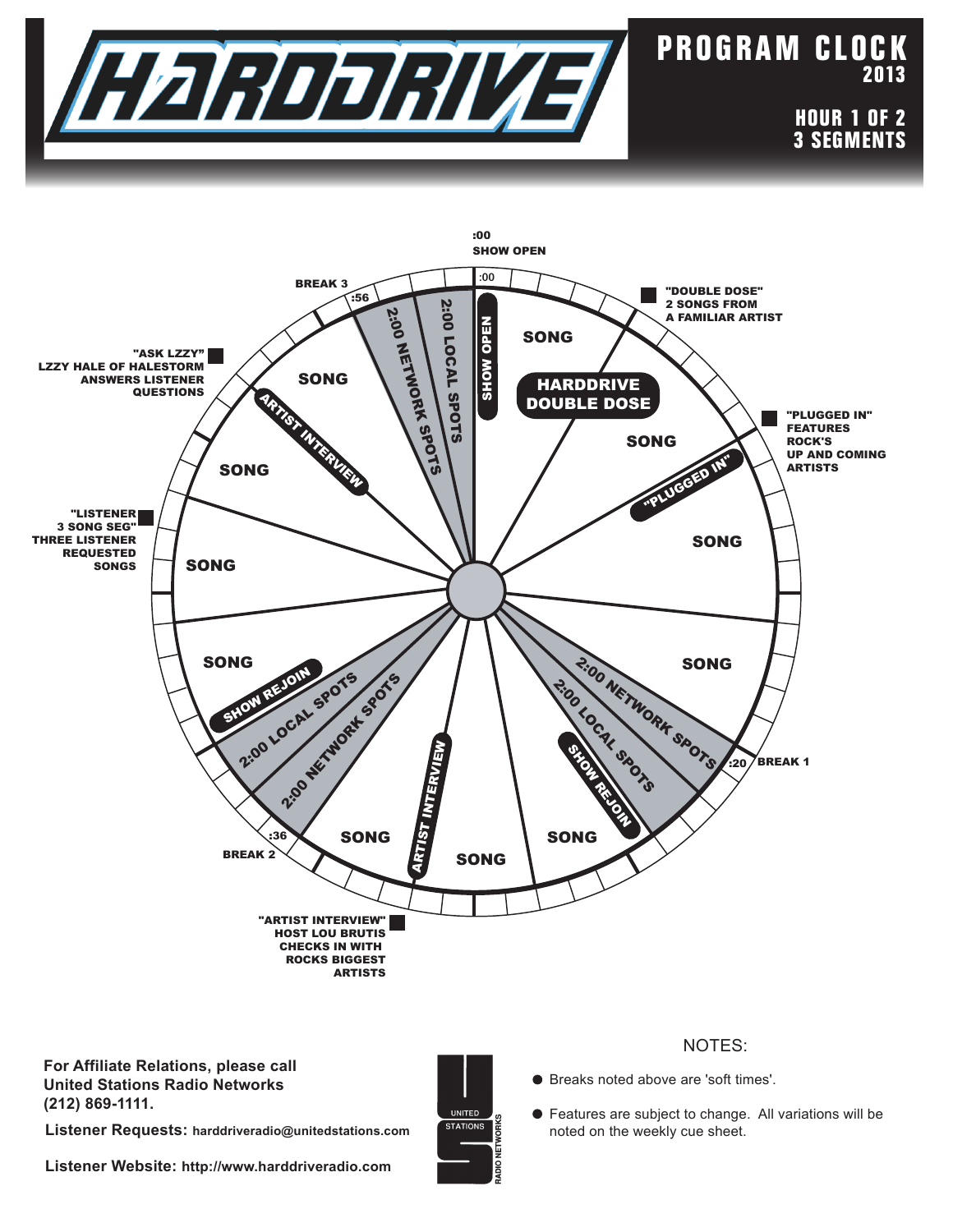

## **P RO G RA M C L O C K 2013**

**HOUR 1 OF 2 3 SEGMENTS**



**For Affiliate Relations, please call United Stations Radio Networks (212) 869-1111.**

**Listener Requests: harddriveradio@unitedstations.com**



## NOTES:

Breaks noted above are 'soft times'.

Features are subject to change. All variations will be noted on the weekly cue sheet.

**Listener Website: http://www.harddriveradio.com**